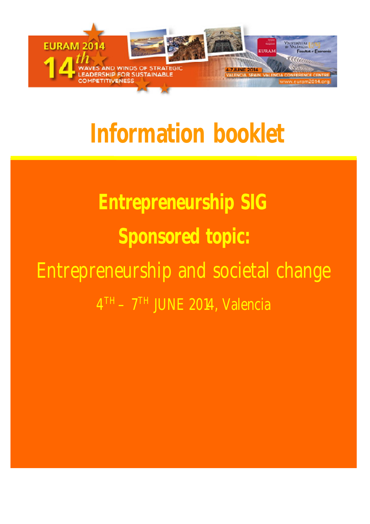

## **Information booklet**

## **Entrepreneurship SIG Sponsored topic:** Entrepreneurship and societal change 4 TH – 7 TH JUNE 2014, Valencia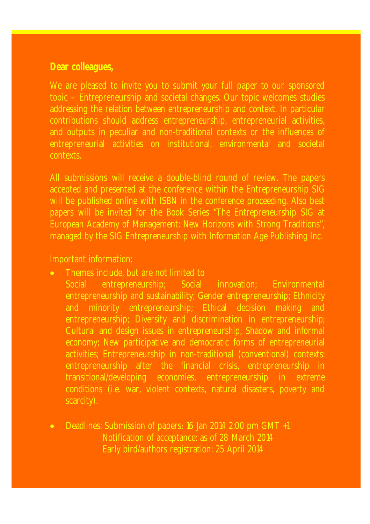## **Dear colleagues,**

We are pleased to invite you to submit your full paper to our sponsored topic – Entrepreneurship and societal changes. Our topic welcomes studies addressing the relation between entrepreneurship and context. In particular contributions should address entrepreneurship, entrepreneurial activities, and outputs in peculiar and non-traditional contexts or the influences of entrepreneurial activities on institutional, environmental and societal contexts.

All submissions will receive a double-blind round of review. The papers accepted and presented at the conference within the Entrepreneurship SIG will be published online with ISBN in the conference proceeding. Also best papers will be invited for the Book Series "The Entrepreneurship SIG at European Academy of Management: New Horizons with Strong Traditions", managed by the SIG Entrepreneurship with Information Age Publishing Inc.

## Important information:

- Themes include, but are not limited to
	- Social entrepreneurship; Social innovation; Environmental entrepreneurship and sustainability; Gender entrepreneurship; Ethnicity and minority entrepreneurship; Ethical decision making and entrepreneurship; Diversity and discrimination in entrepreneurship; Cultural and design issues in entrepreneurship; Shadow and informal economy; New participative and democratic forms of entrepreneurial activities; Entrepreneurship in non-traditional (conventional) contexts: entrepreneurship after the financial crisis, entrepreneurship in transitional/developing economies, entrepreneurship in extreme conditions (i.e. war, violent contexts, natural disasters, poverty and scarcity).
- Deadlines: Submission of papers: 16 Jan 2014 2:00 pm GMT +1 Notification of acceptance: as of 28 March 2014 Early bird/authors registration: 25 April 2014